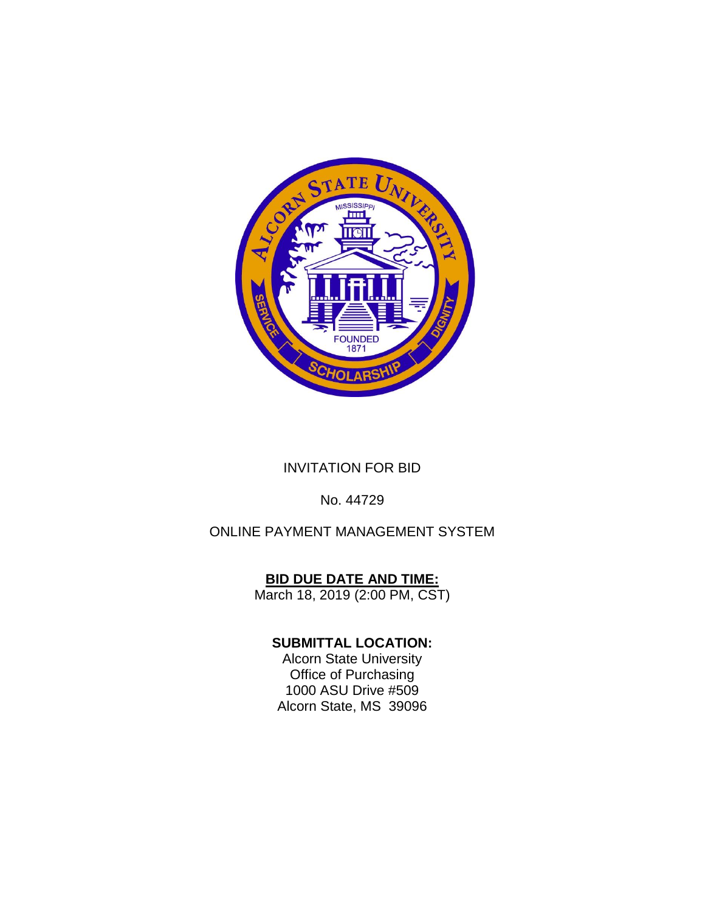

## INVITATION FOR BID

## No. 44729

## ONLINE PAYMENT MANAGEMENT SYSTEM

## **BID DUE DATE AND TIME:**

March 18, 2019 (2:00 PM, CST)

## **SUBMITTAL LOCATION:**

Alcorn State University Office of Purchasing 1000 ASU Drive #509 Alcorn State, MS 39096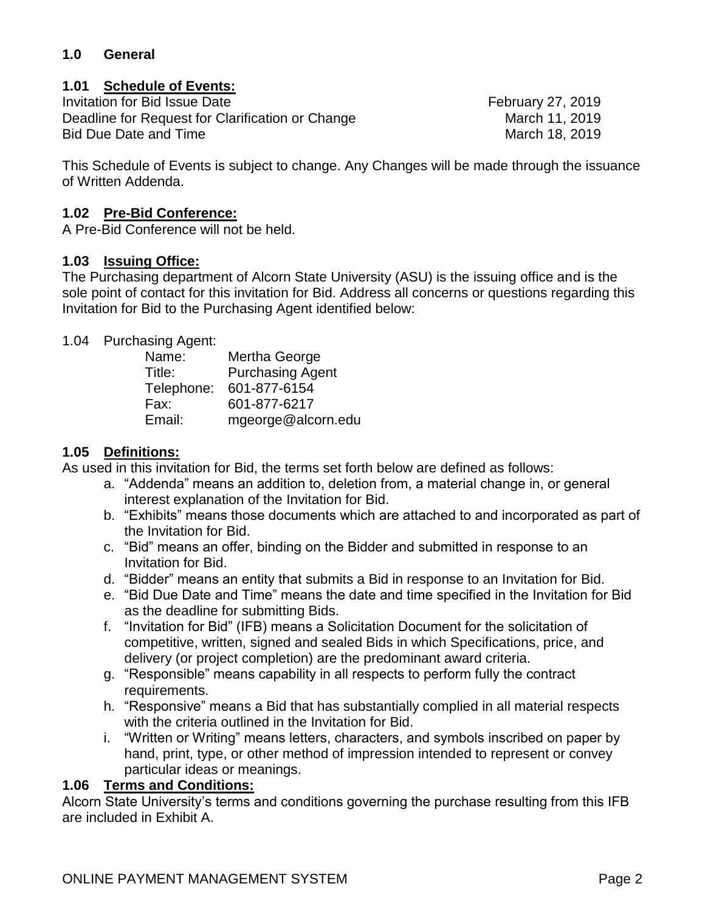## **1.0 General**

## **1.01 Schedule of Events:**

Invitation for Bid Issue Date **February 27, 2019** Deadline for Request for Clarification or Change March 11, 2019 Bid Due Date and Time **March 18, 2019** March 18, 2019

This Schedule of Events is subject to change. Any Changes will be made through the issuance of Written Addenda.

#### **1.02 Pre-Bid Conference:**

A Pre-Bid Conference will not be held.

#### **1.03 Issuing Office:**

The Purchasing department of Alcorn State University (ASU) is the issuing office and is the sole point of contact for this invitation for Bid. Address all concerns or questions regarding this Invitation for Bid to the Purchasing Agent identified below:

#### 1.04 Purchasing Agent:

| Name:      | Mertha George           |
|------------|-------------------------|
| Title:     | <b>Purchasing Agent</b> |
| Telephone: | 601-877-6154            |
| Fax:       | 601-877-6217            |
| Email:     | mgeorge@alcorn.edu      |

#### **1.05 Definitions:**

As used in this invitation for Bid, the terms set forth below are defined as follows:

- a. "Addenda" means an addition to, deletion from, a material change in, or general interest explanation of the Invitation for Bid.
- b. "Exhibits" means those documents which are attached to and incorporated as part of the Invitation for Bid.
- c. "Bid" means an offer, binding on the Bidder and submitted in response to an Invitation for Bid.
- d. "Bidder" means an entity that submits a Bid in response to an Invitation for Bid.
- e. "Bid Due Date and Time" means the date and time specified in the Invitation for Bid as the deadline for submitting Bids.
- f. "Invitation for Bid" (IFB) means a Solicitation Document for the solicitation of competitive, written, signed and sealed Bids in which Specifications, price, and delivery (or project completion) are the predominant award criteria.
- g. "Responsible" means capability in all respects to perform fully the contract requirements.
- h. "Responsive" means a Bid that has substantially complied in all material respects with the criteria outlined in the Invitation for Bid.
- i. "Written or Writing" means letters, characters, and symbols inscribed on paper by hand, print, type, or other method of impression intended to represent or convey particular ideas or meanings.

#### **1.06 Terms and Conditions:**

Alcorn State University's terms and conditions governing the purchase resulting from this IFB are included in Exhibit A.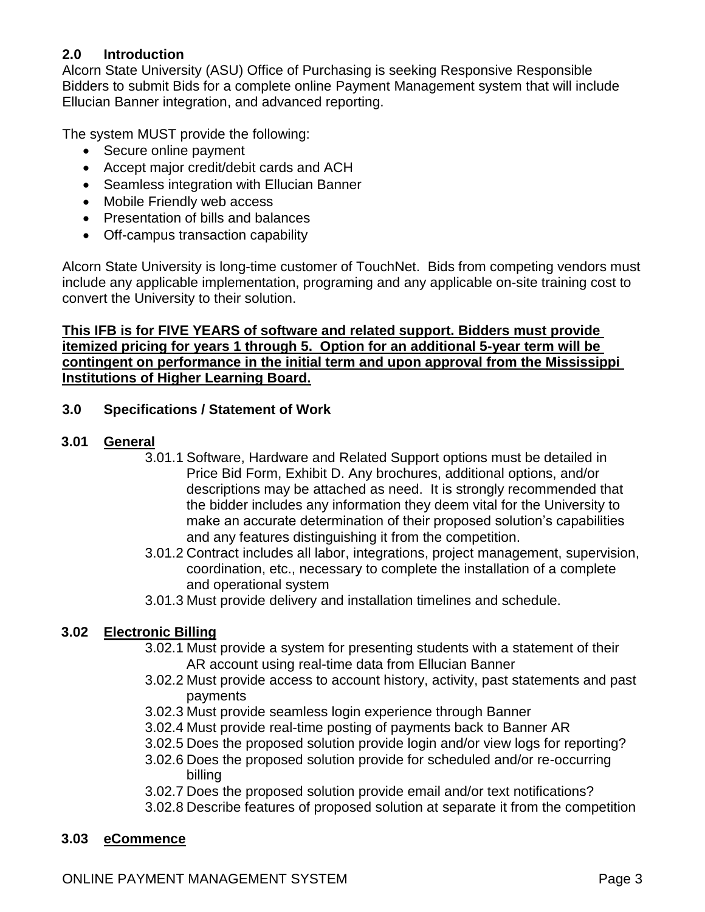## **2.0 Introduction**

Alcorn State University (ASU) Office of Purchasing is seeking Responsive Responsible Bidders to submit Bids for a complete online Payment Management system that will include Ellucian Banner integration, and advanced reporting.

The system MUST provide the following:

- Secure online payment
- Accept major credit/debit cards and ACH
- Seamless integration with Ellucian Banner
- Mobile Friendly web access
- Presentation of bills and balances
- Off-campus transaction capability

Alcorn State University is long-time customer of TouchNet. Bids from competing vendors must include any applicable implementation, programing and any applicable on-site training cost to convert the University to their solution.

#### **This IFB is for FIVE YEARS of software and related support. Bidders must provide itemized pricing for years 1 through 5. Option for an additional 5-year term will be contingent on performance in the initial term and upon approval from the Mississippi Institutions of Higher Learning Board.**

## **3.0 Specifications / Statement of Work**

#### **3.01 General**

- 3.01.1 Software, Hardware and Related Support options must be detailed in Price Bid Form, Exhibit D. Any brochures, additional options, and/or descriptions may be attached as need. It is strongly recommended that the bidder includes any information they deem vital for the University to make an accurate determination of their proposed solution's capabilities and any features distinguishing it from the competition.
- 3.01.2 Contract includes all labor, integrations, project management, supervision, coordination, etc., necessary to complete the installation of a complete and operational system
- 3.01.3 Must provide delivery and installation timelines and schedule.

## **3.02 Electronic Billing**

- 3.02.1 Must provide a system for presenting students with a statement of their AR account using real-time data from Ellucian Banner
- 3.02.2 Must provide access to account history, activity, past statements and past payments
- 3.02.3 Must provide seamless login experience through Banner
- 3.02.4 Must provide real-time posting of payments back to Banner AR
- 3.02.5 Does the proposed solution provide login and/or view logs for reporting?
- 3.02.6 Does the proposed solution provide for scheduled and/or re-occurring billing
- 3.02.7 Does the proposed solution provide email and/or text notifications?
- 3.02.8 Describe features of proposed solution at separate it from the competition

## **3.03 eCommence**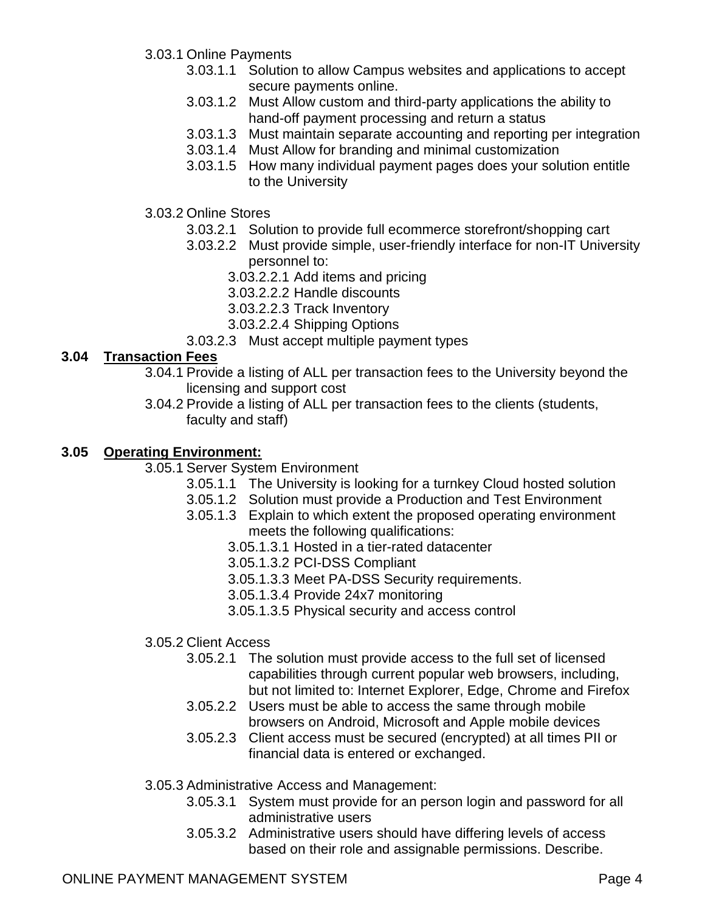- 3.03.1 Online Payments
	- 3.03.1.1 Solution to allow Campus websites and applications to accept secure payments online.
	- 3.03.1.2 Must Allow custom and third-party applications the ability to hand-off payment processing and return a status
	- 3.03.1.3 Must maintain separate accounting and reporting per integration
	- 3.03.1.4 Must Allow for branding and minimal customization
	- 3.03.1.5 How many individual payment pages does your solution entitle to the University
- 3.03.2 Online Stores
	- 3.03.2.1 Solution to provide full ecommerce storefront/shopping cart
	- 3.03.2.2 Must provide simple, user-friendly interface for non-IT University personnel to:
		- 3.03.2.2.1 Add items and pricing
		- 3.03.2.2.2 Handle discounts
		- 3.03.2.2.3 Track Inventory
		- 3.03.2.2.4 Shipping Options
	- 3.03.2.3 Must accept multiple payment types

## **3.04 Transaction Fees**

- 3.04.1 Provide a listing of ALL per transaction fees to the University beyond the licensing and support cost
- 3.04.2 Provide a listing of ALL per transaction fees to the clients (students, faculty and staff)

#### **3.05 Operating Environment:**

3.05.1 Server System Environment

- 3.05.1.1 The University is looking for a turnkey Cloud hosted solution
- 3.05.1.2 Solution must provide a Production and Test Environment
- 3.05.1.3 Explain to which extent the proposed operating environment meets the following qualifications:
	- 3.05.1.3.1 Hosted in a tier-rated datacenter
	- 3.05.1.3.2 PCI-DSS Compliant
	- 3.05.1.3.3 Meet PA-DSS Security requirements.
	- 3.05.1.3.4 Provide 24x7 monitoring
	- 3.05.1.3.5 Physical security and access control
- 3.05.2 Client Access
	- 3.05.2.1 The solution must provide access to the full set of licensed capabilities through current popular web browsers, including, but not limited to: Internet Explorer, Edge, Chrome and Firefox
	- 3.05.2.2 Users must be able to access the same through mobile browsers on Android, Microsoft and Apple mobile devices
	- 3.05.2.3 Client access must be secured (encrypted) at all times PII or financial data is entered or exchanged.
- 3.05.3 Administrative Access and Management:
	- 3.05.3.1 System must provide for an person login and password for all administrative users
	- 3.05.3.2 Administrative users should have differing levels of access based on their role and assignable permissions. Describe.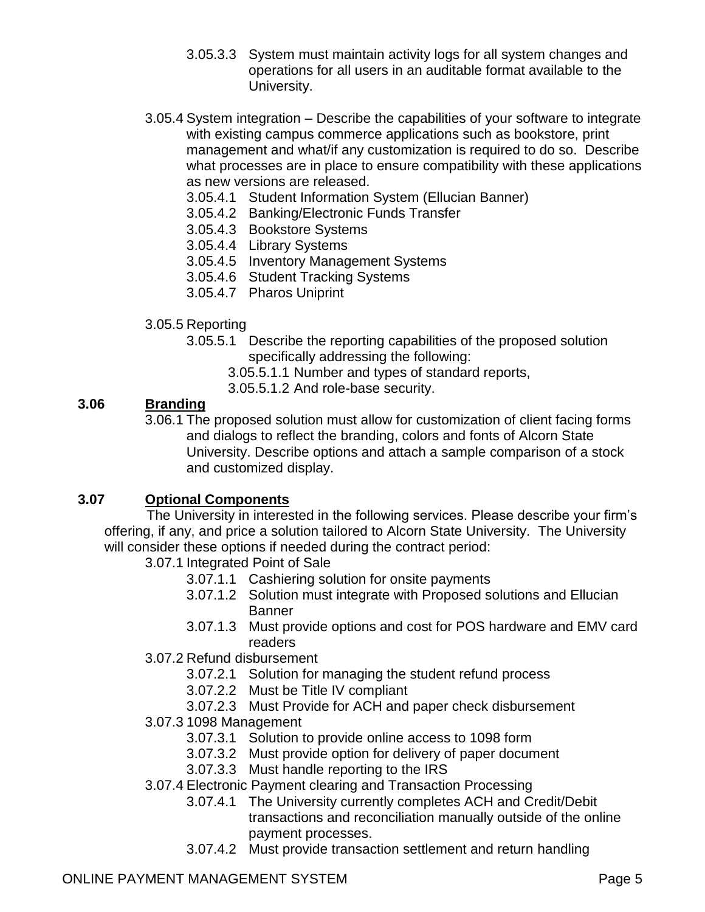- 3.05.3.3 System must maintain activity logs for all system changes and operations for all users in an auditable format available to the University.
- 3.05.4 System integration Describe the capabilities of your software to integrate with existing campus commerce applications such as bookstore, print management and what/if any customization is required to do so. Describe what processes are in place to ensure compatibility with these applications as new versions are released.
	- 3.05.4.1 Student Information System (Ellucian Banner)
	- 3.05.4.2 Banking/Electronic Funds Transfer
	- 3.05.4.3 Bookstore Systems
	- 3.05.4.4 Library Systems
	- 3.05.4.5 Inventory Management Systems
	- 3.05.4.6 Student Tracking Systems
	- 3.05.4.7 Pharos Uniprint
- 3.05.5 Reporting
	- 3.05.5.1 Describe the reporting capabilities of the proposed solution specifically addressing the following:
		- 3.05.5.1.1 Number and types of standard reports,
		- 3.05.5.1.2 And role-base security.

#### **3.06 Branding**

3.06.1 The proposed solution must allow for customization of client facing forms and dialogs to reflect the branding, colors and fonts of Alcorn State University. Describe options and attach a sample comparison of a stock and customized display.

#### **3.07 Optional Components**

 The University in interested in the following services. Please describe your firm's offering, if any, and price a solution tailored to Alcorn State University. The University will consider these options if needed during the contract period:

- 3.07.1 Integrated Point of Sale
	- 3.07.1.1 Cashiering solution for onsite payments
	- 3.07.1.2 Solution must integrate with Proposed solutions and Ellucian Banner
	- 3.07.1.3 Must provide options and cost for POS hardware and EMV card readers
- 3.07.2 Refund disbursement
	- 3.07.2.1 Solution for managing the student refund process
	- 3.07.2.2 Must be Title IV compliant
	- 3.07.2.3 Must Provide for ACH and paper check disbursement
- 3.07.3 1098 Management
	- 3.07.3.1 Solution to provide online access to 1098 form
	- 3.07.3.2 Must provide option for delivery of paper document
	- 3.07.3.3 Must handle reporting to the IRS
- 3.07.4 Electronic Payment clearing and Transaction Processing
	- 3.07.4.1 The University currently completes ACH and Credit/Debit transactions and reconciliation manually outside of the online payment processes.
	- 3.07.4.2 Must provide transaction settlement and return handling

## ONLINE PAYMENT MANAGEMENT SYSTEM **Page 5**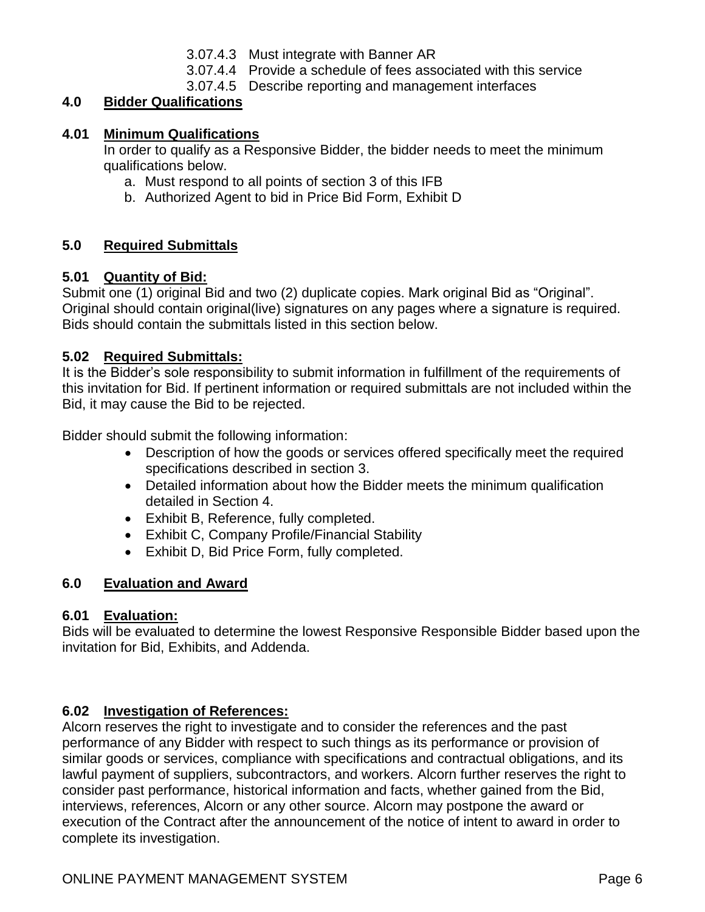- 3.07.4.3 Must integrate with Banner AR
- 3.07.4.4 Provide a schedule of fees associated with this service
- 3.07.4.5 Describe reporting and management interfaces

## **4.0 Bidder Qualifications**

#### **4.01 Minimum Qualifications**

In order to qualify as a Responsive Bidder, the bidder needs to meet the minimum qualifications below.

- a. Must respond to all points of section 3 of this IFB
- b. Authorized Agent to bid in Price Bid Form, Exhibit D

## **5.0 Required Submittals**

#### **5.01 Quantity of Bid:**

Submit one (1) original Bid and two (2) duplicate copies. Mark original Bid as "Original". Original should contain original(live) signatures on any pages where a signature is required. Bids should contain the submittals listed in this section below.

#### **5.02 Required Submittals:**

It is the Bidder's sole responsibility to submit information in fulfillment of the requirements of this invitation for Bid. If pertinent information or required submittals are not included within the Bid, it may cause the Bid to be rejected.

Bidder should submit the following information:

- Description of how the goods or services offered specifically meet the required specifications described in section 3.
- Detailed information about how the Bidder meets the minimum qualification detailed in Section 4.
- Exhibit B, Reference, fully completed.
- Exhibit C, Company Profile/Financial Stability
- Exhibit D, Bid Price Form, fully completed.

## **6.0 Evaluation and Award**

#### **6.01 Evaluation:**

Bids will be evaluated to determine the lowest Responsive Responsible Bidder based upon the invitation for Bid, Exhibits, and Addenda.

#### **6.02 Investigation of References:**

Alcorn reserves the right to investigate and to consider the references and the past performance of any Bidder with respect to such things as its performance or provision of similar goods or services, compliance with specifications and contractual obligations, and its lawful payment of suppliers, subcontractors, and workers. Alcorn further reserves the right to consider past performance, historical information and facts, whether gained from the Bid, interviews, references, Alcorn or any other source. Alcorn may postpone the award or execution of the Contract after the announcement of the notice of intent to award in order to complete its investigation.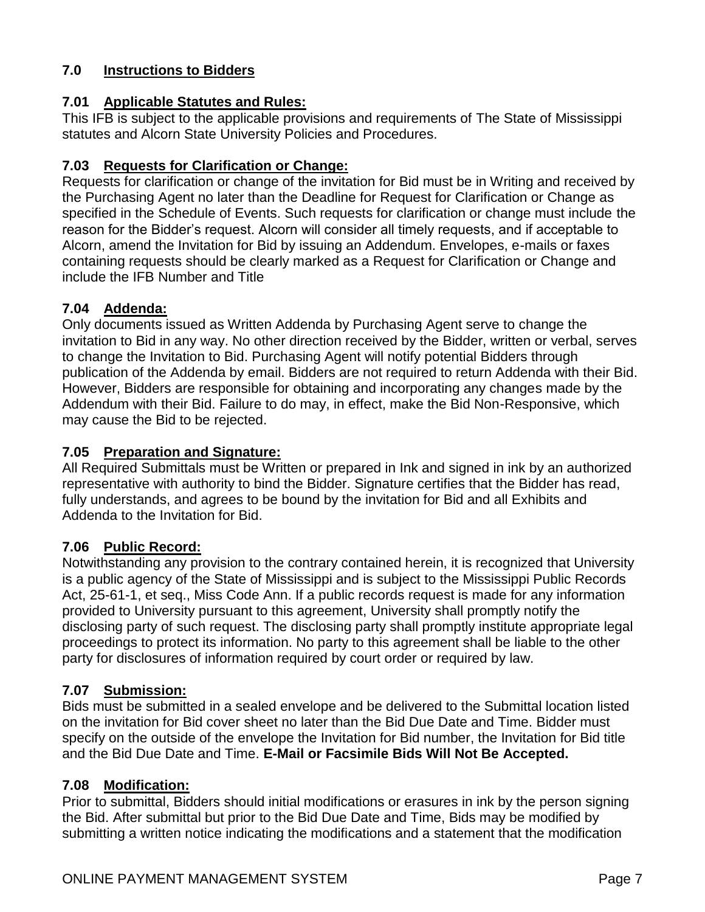## **7.0 Instructions to Bidders**

### **7.01 Applicable Statutes and Rules:**

This IFB is subject to the applicable provisions and requirements of The State of Mississippi statutes and Alcorn State University Policies and Procedures.

## **7.03 Requests for Clarification or Change:**

Requests for clarification or change of the invitation for Bid must be in Writing and received by the Purchasing Agent no later than the Deadline for Request for Clarification or Change as specified in the Schedule of Events. Such requests for clarification or change must include the reason for the Bidder's request. Alcorn will consider all timely requests, and if acceptable to Alcorn, amend the Invitation for Bid by issuing an Addendum. Envelopes, e-mails or faxes containing requests should be clearly marked as a Request for Clarification or Change and include the IFB Number and Title

#### **7.04 Addenda:**

Only documents issued as Written Addenda by Purchasing Agent serve to change the invitation to Bid in any way. No other direction received by the Bidder, written or verbal, serves to change the Invitation to Bid. Purchasing Agent will notify potential Bidders through publication of the Addenda by email. Bidders are not required to return Addenda with their Bid. However, Bidders are responsible for obtaining and incorporating any changes made by the Addendum with their Bid. Failure to do may, in effect, make the Bid Non-Responsive, which may cause the Bid to be rejected.

### **7.05 Preparation and Signature:**

All Required Submittals must be Written or prepared in Ink and signed in ink by an authorized representative with authority to bind the Bidder. Signature certifies that the Bidder has read, fully understands, and agrees to be bound by the invitation for Bid and all Exhibits and Addenda to the Invitation for Bid.

#### **7.06 Public Record:**

Notwithstanding any provision to the contrary contained herein, it is recognized that University is a public agency of the State of Mississippi and is subject to the Mississippi Public Records Act, 25-61-1, et seq., Miss Code Ann. If a public records request is made for any information provided to University pursuant to this agreement, University shall promptly notify the disclosing party of such request. The disclosing party shall promptly institute appropriate legal proceedings to protect its information. No party to this agreement shall be liable to the other party for disclosures of information required by court order or required by law.

#### **7.07 Submission:**

Bids must be submitted in a sealed envelope and be delivered to the Submittal location listed on the invitation for Bid cover sheet no later than the Bid Due Date and Time. Bidder must specify on the outside of the envelope the Invitation for Bid number, the Invitation for Bid title and the Bid Due Date and Time. **E-Mail or Facsimile Bids Will Not Be Accepted.**

#### **7.08 Modification:**

Prior to submittal, Bidders should initial modifications or erasures in ink by the person signing the Bid. After submittal but prior to the Bid Due Date and Time, Bids may be modified by submitting a written notice indicating the modifications and a statement that the modification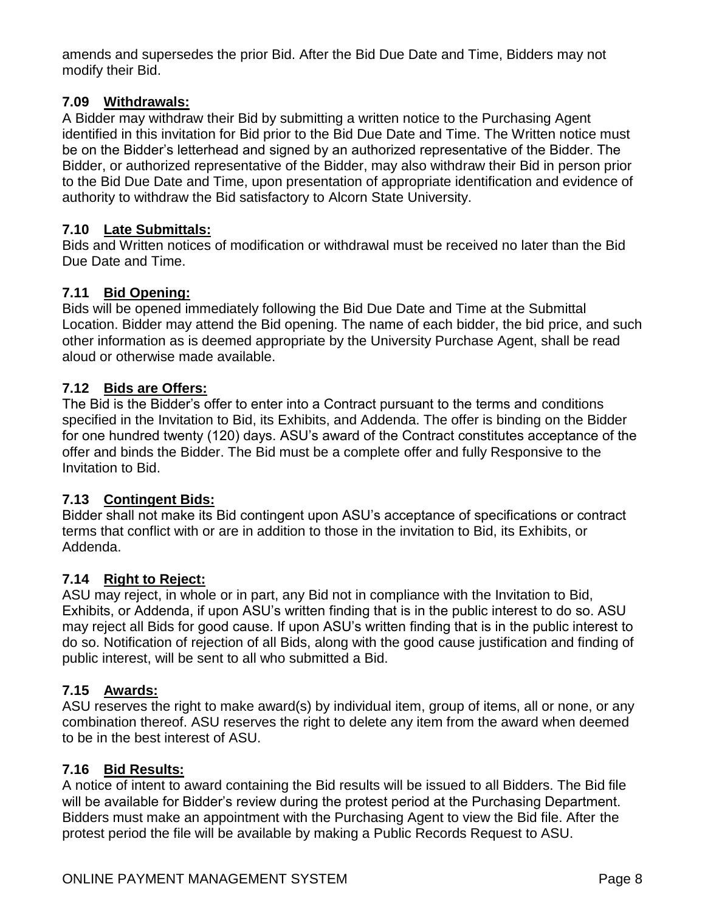amends and supersedes the prior Bid. After the Bid Due Date and Time, Bidders may not modify their Bid.

#### **7.09 Withdrawals:**

A Bidder may withdraw their Bid by submitting a written notice to the Purchasing Agent identified in this invitation for Bid prior to the Bid Due Date and Time. The Written notice must be on the Bidder's letterhead and signed by an authorized representative of the Bidder. The Bidder, or authorized representative of the Bidder, may also withdraw their Bid in person prior to the Bid Due Date and Time, upon presentation of appropriate identification and evidence of authority to withdraw the Bid satisfactory to Alcorn State University.

#### **7.10 Late Submittals:**

Bids and Written notices of modification or withdrawal must be received no later than the Bid Due Date and Time.

#### **7.11 Bid Opening:**

Bids will be opened immediately following the Bid Due Date and Time at the Submittal Location. Bidder may attend the Bid opening. The name of each bidder, the bid price, and such other information as is deemed appropriate by the University Purchase Agent, shall be read aloud or otherwise made available.

#### **7.12 Bids are Offers:**

The Bid is the Bidder's offer to enter into a Contract pursuant to the terms and conditions specified in the Invitation to Bid, its Exhibits, and Addenda. The offer is binding on the Bidder for one hundred twenty (120) days. ASU's award of the Contract constitutes acceptance of the offer and binds the Bidder. The Bid must be a complete offer and fully Responsive to the Invitation to Bid.

#### **7.13 Contingent Bids:**

Bidder shall not make its Bid contingent upon ASU's acceptance of specifications or contract terms that conflict with or are in addition to those in the invitation to Bid, its Exhibits, or Addenda.

#### **7.14 Right to Reject:**

ASU may reject, in whole or in part, any Bid not in compliance with the Invitation to Bid, Exhibits, or Addenda, if upon ASU's written finding that is in the public interest to do so. ASU may reject all Bids for good cause. If upon ASU's written finding that is in the public interest to do so. Notification of rejection of all Bids, along with the good cause justification and finding of public interest, will be sent to all who submitted a Bid.

#### **7.15 Awards:**

ASU reserves the right to make award(s) by individual item, group of items, all or none, or any combination thereof. ASU reserves the right to delete any item from the award when deemed to be in the best interest of ASU.

#### **7.16 Bid Results:**

A notice of intent to award containing the Bid results will be issued to all Bidders. The Bid file will be available for Bidder's review during the protest period at the Purchasing Department. Bidders must make an appointment with the Purchasing Agent to view the Bid file. After the protest period the file will be available by making a Public Records Request to ASU.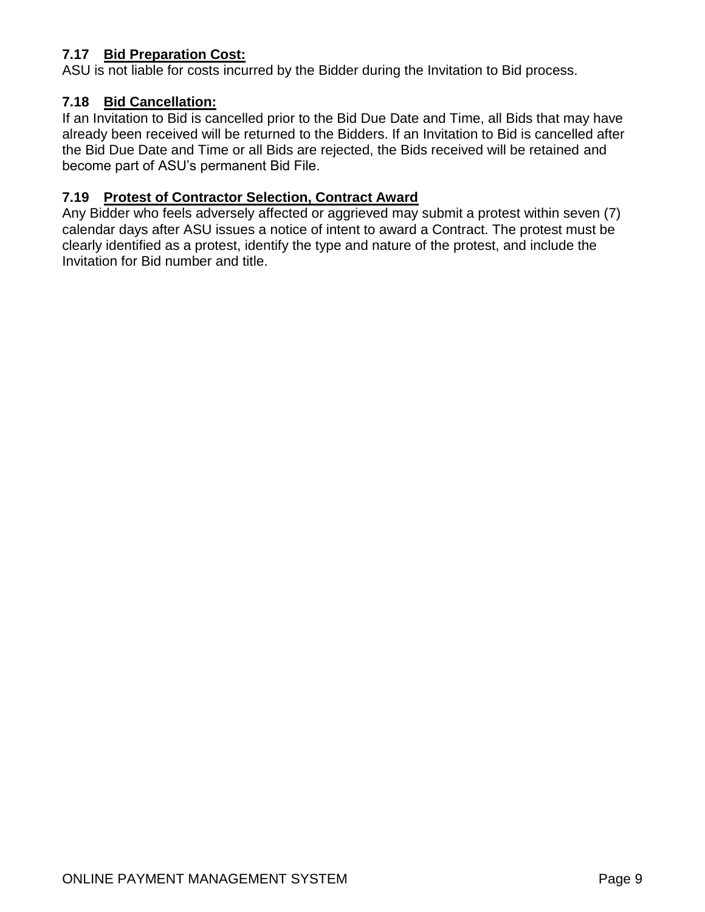## **7.17 Bid Preparation Cost:**

ASU is not liable for costs incurred by the Bidder during the Invitation to Bid process.

## **7.18 Bid Cancellation:**

If an Invitation to Bid is cancelled prior to the Bid Due Date and Time, all Bids that may have already been received will be returned to the Bidders. If an Invitation to Bid is cancelled after the Bid Due Date and Time or all Bids are rejected, the Bids received will be retained and become part of ASU's permanent Bid File.

#### **7.19 Protest of Contractor Selection, Contract Award**

Any Bidder who feels adversely affected or aggrieved may submit a protest within seven (7) calendar days after ASU issues a notice of intent to award a Contract. The protest must be clearly identified as a protest, identify the type and nature of the protest, and include the Invitation for Bid number and title.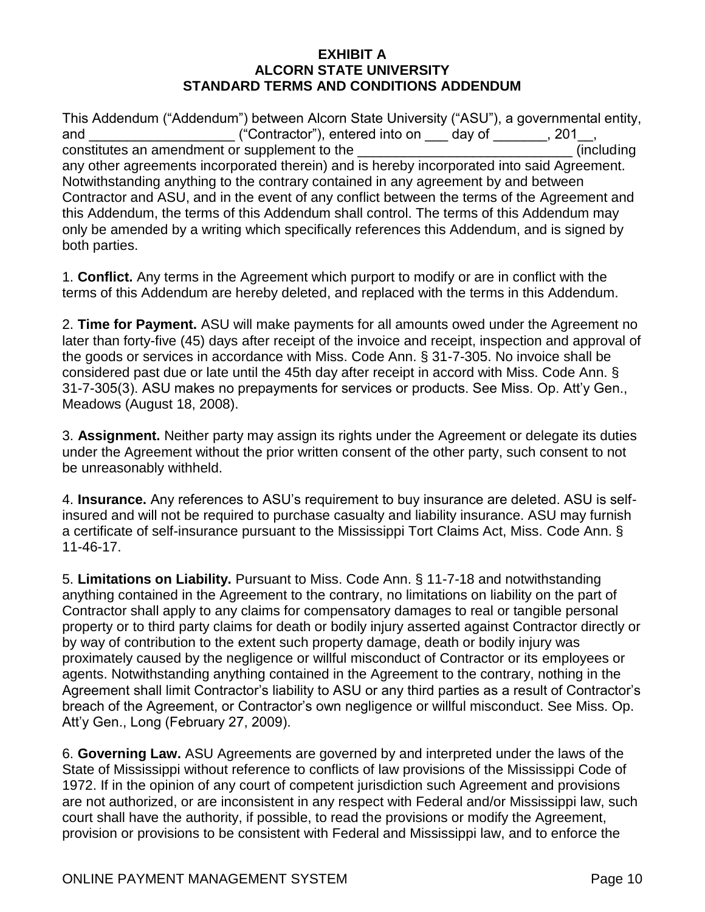#### **EXHIBIT A ALCORN STATE UNIVERSITY STANDARD TERMS AND CONDITIONS ADDENDUM**

This Addendum ("Addendum") between Alcorn State University ("ASU"), a governmental entity, and \_\_\_\_\_\_\_\_\_\_\_\_\_\_\_\_\_\_\_\_\_\_\_("Contractor"), entered into on \_\_\_\_ day of \_\_\_\_\_\_\_, 201\_\_, constitutes an amendment or supplement to the \_\_\_\_\_\_\_\_\_\_\_\_\_\_\_\_\_\_\_\_\_\_\_\_\_\_\_\_ (including any other agreements incorporated therein) and is hereby incorporated into said Agreement. Notwithstanding anything to the contrary contained in any agreement by and between Contractor and ASU, and in the event of any conflict between the terms of the Agreement and this Addendum, the terms of this Addendum shall control. The terms of this Addendum may only be amended by a writing which specifically references this Addendum, and is signed by both parties.

1. **Conflict.** Any terms in the Agreement which purport to modify or are in conflict with the terms of this Addendum are hereby deleted, and replaced with the terms in this Addendum.

2. **Time for Payment.** ASU will make payments for all amounts owed under the Agreement no later than forty-five (45) days after receipt of the invoice and receipt, inspection and approval of the goods or services in accordance with Miss. Code Ann. § 31-7-305. No invoice shall be considered past due or late until the 45th day after receipt in accord with Miss. Code Ann. § 31-7-305(3). ASU makes no prepayments for services or products. See Miss. Op. Att'y Gen., Meadows (August 18, 2008).

3. **Assignment.** Neither party may assign its rights under the Agreement or delegate its duties under the Agreement without the prior written consent of the other party, such consent to not be unreasonably withheld.

4. **Insurance.** Any references to ASU's requirement to buy insurance are deleted. ASU is selfinsured and will not be required to purchase casualty and liability insurance. ASU may furnish a certificate of self-insurance pursuant to the Mississippi Tort Claims Act, Miss. Code Ann. § 11-46-17.

5. **Limitations on Liability.** Pursuant to Miss. Code Ann. § 11-7-18 and notwithstanding anything contained in the Agreement to the contrary, no limitations on liability on the part of Contractor shall apply to any claims for compensatory damages to real or tangible personal property or to third party claims for death or bodily injury asserted against Contractor directly or by way of contribution to the extent such property damage, death or bodily injury was proximately caused by the negligence or willful misconduct of Contractor or its employees or agents. Notwithstanding anything contained in the Agreement to the contrary, nothing in the Agreement shall limit Contractor's liability to ASU or any third parties as a result of Contractor's breach of the Agreement, or Contractor's own negligence or willful misconduct. See Miss. Op. Att'y Gen., Long (February 27, 2009).

6. **Governing Law.** ASU Agreements are governed by and interpreted under the laws of the State of Mississippi without reference to conflicts of law provisions of the Mississippi Code of 1972. If in the opinion of any court of competent jurisdiction such Agreement and provisions are not authorized, or are inconsistent in any respect with Federal and/or Mississippi law, such court shall have the authority, if possible, to read the provisions or modify the Agreement, provision or provisions to be consistent with Federal and Mississippi law, and to enforce the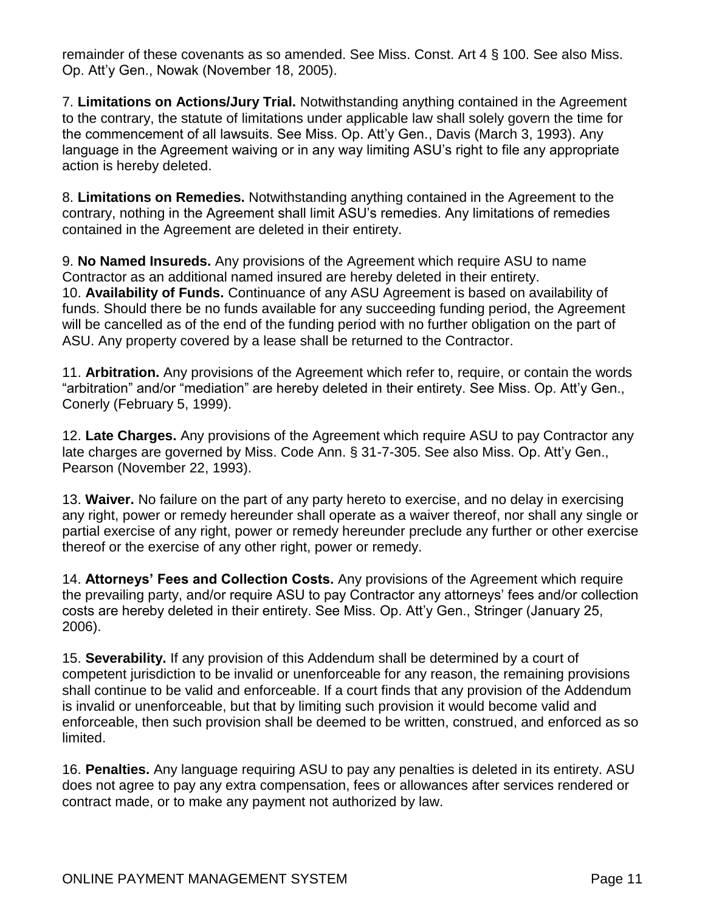remainder of these covenants as so amended. See Miss. Const. Art 4 § 100. See also Miss. Op. Att'y Gen., Nowak (November 18, 2005).

7. **Limitations on Actions/Jury Trial.** Notwithstanding anything contained in the Agreement to the contrary, the statute of limitations under applicable law shall solely govern the time for the commencement of all lawsuits. See Miss. Op. Att'y Gen., Davis (March 3, 1993). Any language in the Agreement waiving or in any way limiting ASU's right to file any appropriate action is hereby deleted.

8. **Limitations on Remedies.** Notwithstanding anything contained in the Agreement to the contrary, nothing in the Agreement shall limit ASU's remedies. Any limitations of remedies contained in the Agreement are deleted in their entirety.

9. **No Named Insureds.** Any provisions of the Agreement which require ASU to name Contractor as an additional named insured are hereby deleted in their entirety. 10. **Availability of Funds.** Continuance of any ASU Agreement is based on availability of funds. Should there be no funds available for any succeeding funding period, the Agreement will be cancelled as of the end of the funding period with no further obligation on the part of ASU. Any property covered by a lease shall be returned to the Contractor.

11. **Arbitration.** Any provisions of the Agreement which refer to, require, or contain the words "arbitration" and/or "mediation" are hereby deleted in their entirety. See Miss. Op. Att'y Gen., Conerly (February 5, 1999).

12. **Late Charges.** Any provisions of the Agreement which require ASU to pay Contractor any late charges are governed by Miss. Code Ann. § 31-7-305. See also Miss. Op. Att'y Gen., Pearson (November 22, 1993).

13. **Waiver.** No failure on the part of any party hereto to exercise, and no delay in exercising any right, power or remedy hereunder shall operate as a waiver thereof, nor shall any single or partial exercise of any right, power or remedy hereunder preclude any further or other exercise thereof or the exercise of any other right, power or remedy.

14. **Attorneys' Fees and Collection Costs.** Any provisions of the Agreement which require the prevailing party, and/or require ASU to pay Contractor any attorneys' fees and/or collection costs are hereby deleted in their entirety. See Miss. Op. Att'y Gen., Stringer (January 25, 2006).

15. **Severability.** If any provision of this Addendum shall be determined by a court of competent jurisdiction to be invalid or unenforceable for any reason, the remaining provisions shall continue to be valid and enforceable. If a court finds that any provision of the Addendum is invalid or unenforceable, but that by limiting such provision it would become valid and enforceable, then such provision shall be deemed to be written, construed, and enforced as so limited.

16. **Penalties.** Any language requiring ASU to pay any penalties is deleted in its entirety. ASU does not agree to pay any extra compensation, fees or allowances after services rendered or contract made, or to make any payment not authorized by law.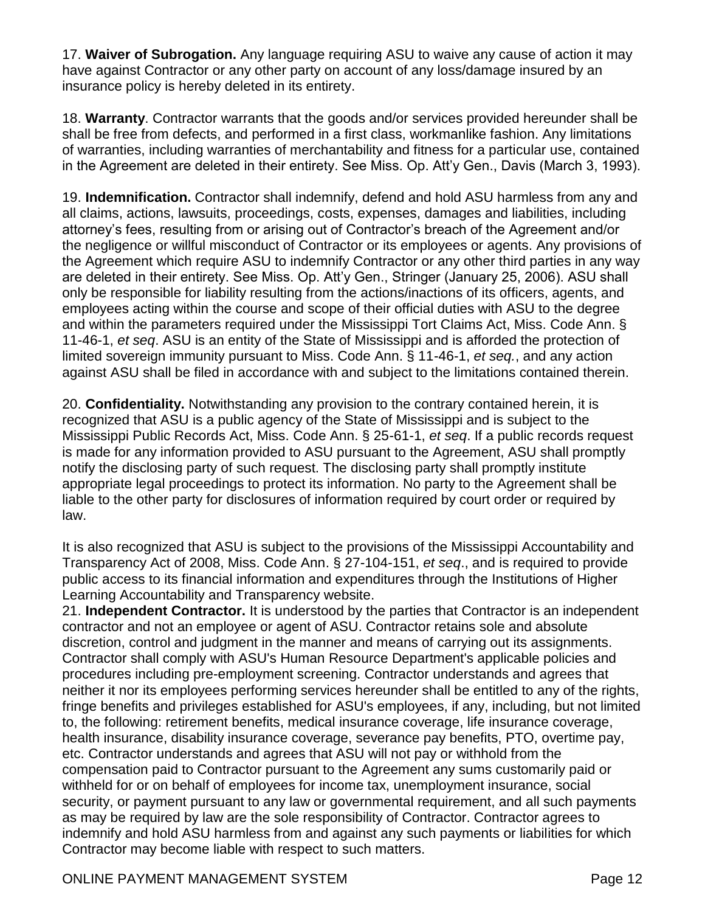17. **Waiver of Subrogation.** Any language requiring ASU to waive any cause of action it may have against Contractor or any other party on account of any loss/damage insured by an insurance policy is hereby deleted in its entirety.

18. **Warranty**. Contractor warrants that the goods and/or services provided hereunder shall be shall be free from defects, and performed in a first class, workmanlike fashion. Any limitations of warranties, including warranties of merchantability and fitness for a particular use, contained in the Agreement are deleted in their entirety. See Miss. Op. Att'y Gen., Davis (March 3, 1993).

19. **Indemnification.** Contractor shall indemnify, defend and hold ASU harmless from any and all claims, actions, lawsuits, proceedings, costs, expenses, damages and liabilities, including attorney's fees, resulting from or arising out of Contractor's breach of the Agreement and/or the negligence or willful misconduct of Contractor or its employees or agents. Any provisions of the Agreement which require ASU to indemnify Contractor or any other third parties in any way are deleted in their entirety. See Miss. Op. Att'y Gen., Stringer (January 25, 2006). ASU shall only be responsible for liability resulting from the actions/inactions of its officers, agents, and employees acting within the course and scope of their official duties with ASU to the degree and within the parameters required under the Mississippi Tort Claims Act, Miss. Code Ann. § 11-46-1, *et seq*. ASU is an entity of the State of Mississippi and is afforded the protection of limited sovereign immunity pursuant to Miss. Code Ann. § 11-46-1, *et seq.*, and any action against ASU shall be filed in accordance with and subject to the limitations contained therein.

20. **Confidentiality.** Notwithstanding any provision to the contrary contained herein, it is recognized that ASU is a public agency of the State of Mississippi and is subject to the Mississippi Public Records Act, Miss. Code Ann. § 25-61-1, *et seq*. If a public records request is made for any information provided to ASU pursuant to the Agreement, ASU shall promptly notify the disclosing party of such request. The disclosing party shall promptly institute appropriate legal proceedings to protect its information. No party to the Agreement shall be liable to the other party for disclosures of information required by court order or required by law.

It is also recognized that ASU is subject to the provisions of the Mississippi Accountability and Transparency Act of 2008, Miss. Code Ann. § 27-104-151, *et seq*., and is required to provide public access to its financial information and expenditures through the Institutions of Higher Learning Accountability and Transparency website.

21. **Independent Contractor.** It is understood by the parties that Contractor is an independent contractor and not an employee or agent of ASU. Contractor retains sole and absolute discretion, control and judgment in the manner and means of carrying out its assignments. Contractor shall comply with ASU's Human Resource Department's applicable policies and procedures including pre-employment screening. Contractor understands and agrees that neither it nor its employees performing services hereunder shall be entitled to any of the rights, fringe benefits and privileges established for ASU's employees, if any, including, but not limited to, the following: retirement benefits, medical insurance coverage, life insurance coverage, health insurance, disability insurance coverage, severance pay benefits, PTO, overtime pay, etc. Contractor understands and agrees that ASU will not pay or withhold from the compensation paid to Contractor pursuant to the Agreement any sums customarily paid or withheld for or on behalf of employees for income tax, unemployment insurance, social security, or payment pursuant to any law or governmental requirement, and all such payments as may be required by law are the sole responsibility of Contractor. Contractor agrees to indemnify and hold ASU harmless from and against any such payments or liabilities for which Contractor may become liable with respect to such matters.

## ONLINE PAYMENT MANAGEMENT SYSTEM **Page 12** Page 12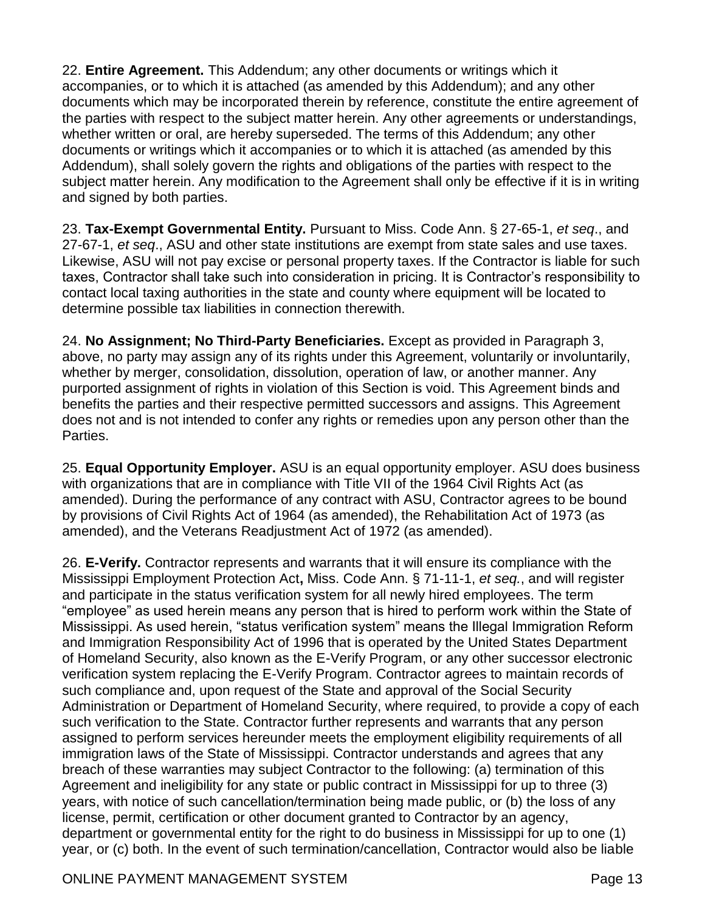22. **Entire Agreement.** This Addendum; any other documents or writings which it accompanies, or to which it is attached (as amended by this Addendum); and any other documents which may be incorporated therein by reference, constitute the entire agreement of the parties with respect to the subject matter herein. Any other agreements or understandings, whether written or oral, are hereby superseded. The terms of this Addendum; any other documents or writings which it accompanies or to which it is attached (as amended by this Addendum), shall solely govern the rights and obligations of the parties with respect to the subject matter herein. Any modification to the Agreement shall only be effective if it is in writing and signed by both parties.

23. **Tax-Exempt Governmental Entity.** Pursuant to Miss. Code Ann. § 27-65-1, *et seq*., and 27-67-1, *et seq*., ASU and other state institutions are exempt from state sales and use taxes. Likewise, ASU will not pay excise or personal property taxes. If the Contractor is liable for such taxes, Contractor shall take such into consideration in pricing. It is Contractor's responsibility to contact local taxing authorities in the state and county where equipment will be located to determine possible tax liabilities in connection therewith.

24. **No Assignment; No Third-Party Beneficiaries.** Except as provided in Paragraph 3, above, no party may assign any of its rights under this Agreement, voluntarily or involuntarily, whether by merger, consolidation, dissolution, operation of law, or another manner. Any purported assignment of rights in violation of this Section is void. This Agreement binds and benefits the parties and their respective permitted successors and assigns. This Agreement does not and is not intended to confer any rights or remedies upon any person other than the Parties.

25. **Equal Opportunity Employer.** ASU is an equal opportunity employer. ASU does business with organizations that are in compliance with Title VII of the 1964 Civil Rights Act (as amended). During the performance of any contract with ASU, Contractor agrees to be bound by provisions of Civil Rights Act of 1964 (as amended), the Rehabilitation Act of 1973 (as amended), and the Veterans Readjustment Act of 1972 (as amended).

26. **E-Verify.** Contractor represents and warrants that it will ensure its compliance with the Mississippi Employment Protection Act**,** Miss. Code Ann. § 71-11-1, *et seq.*, and will register and participate in the status verification system for all newly hired employees. The term "employee" as used herein means any person that is hired to perform work within the State of Mississippi. As used herein, "status verification system" means the Illegal Immigration Reform and Immigration Responsibility Act of 1996 that is operated by the United States Department of Homeland Security, also known as the E-Verify Program, or any other successor electronic verification system replacing the E-Verify Program. Contractor agrees to maintain records of such compliance and, upon request of the State and approval of the Social Security Administration or Department of Homeland Security, where required, to provide a copy of each such verification to the State. Contractor further represents and warrants that any person assigned to perform services hereunder meets the employment eligibility requirements of all immigration laws of the State of Mississippi. Contractor understands and agrees that any breach of these warranties may subject Contractor to the following: (a) termination of this Agreement and ineligibility for any state or public contract in Mississippi for up to three (3) years, with notice of such cancellation/termination being made public, or (b) the loss of any license, permit, certification or other document granted to Contractor by an agency, department or governmental entity for the right to do business in Mississippi for up to one (1) year, or (c) both. In the event of such termination/cancellation, Contractor would also be liable

## ONLINE PAYMENT MANAGEMENT SYSTEM **Page 13** Page 13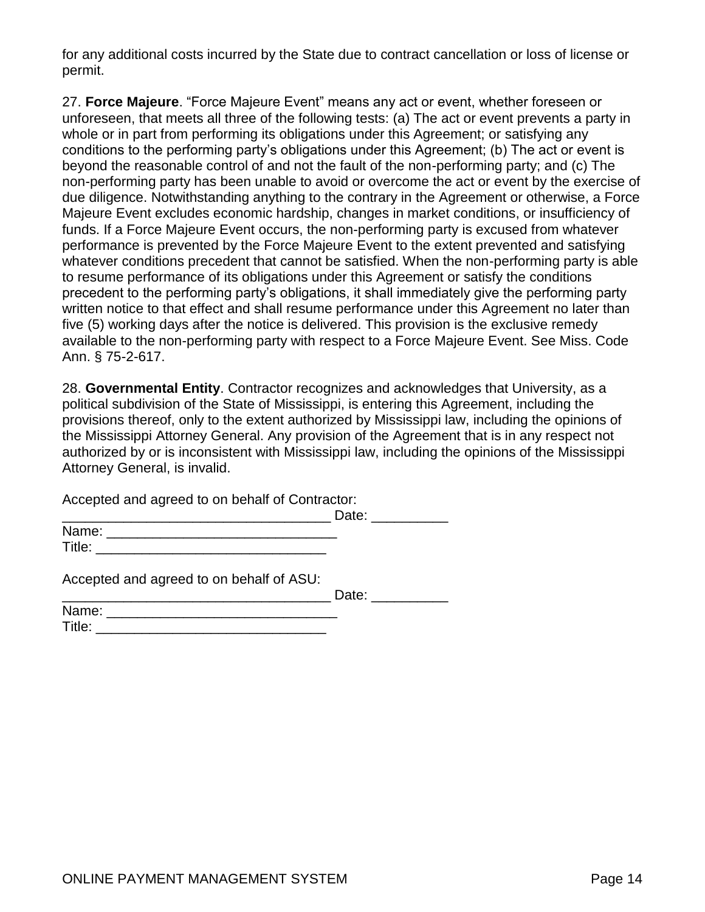for any additional costs incurred by the State due to contract cancellation or loss of license or permit.

27. **Force Majeure**. "Force Majeure Event" means any act or event, whether foreseen or unforeseen, that meets all three of the following tests: (a) The act or event prevents a party in whole or in part from performing its obligations under this Agreement; or satisfying any conditions to the performing party's obligations under this Agreement; (b) The act or event is beyond the reasonable control of and not the fault of the non-performing party; and (c) The non-performing party has been unable to avoid or overcome the act or event by the exercise of due diligence. Notwithstanding anything to the contrary in the Agreement or otherwise, a Force Majeure Event excludes economic hardship, changes in market conditions, or insufficiency of funds. If a Force Majeure Event occurs, the non-performing party is excused from whatever performance is prevented by the Force Majeure Event to the extent prevented and satisfying whatever conditions precedent that cannot be satisfied. When the non-performing party is able to resume performance of its obligations under this Agreement or satisfy the conditions precedent to the performing party's obligations, it shall immediately give the performing party written notice to that effect and shall resume performance under this Agreement no later than five (5) working days after the notice is delivered. This provision is the exclusive remedy available to the non-performing party with respect to a Force Majeure Event. See Miss. Code Ann. § 75-2-617.

28. **Governmental Entity**. Contractor recognizes and acknowledges that University, as a political subdivision of the State of Mississippi, is entering this Agreement, including the provisions thereof, only to the extent authorized by Mississippi law, including the opinions of the Mississippi Attorney General. Any provision of the Agreement that is in any respect not authorized by or is inconsistent with Mississippi law, including the opinions of the Mississippi Attorney General, is invalid.

Accepted and agreed to on behalf of Contractor:

\_\_\_\_\_\_\_\_\_\_\_\_\_\_\_\_\_\_\_\_\_\_\_\_\_\_\_\_\_\_\_\_\_\_\_ Date: \_\_\_\_\_\_\_\_\_\_ Name: \_\_\_\_\_\_\_\_\_\_\_\_\_\_\_\_\_\_\_\_\_\_\_\_\_\_\_\_\_\_

Accepted and agreed to on behalf of ASU:

Title: \_\_\_\_\_\_\_\_\_\_\_\_\_\_\_\_\_\_\_\_\_\_\_\_\_\_\_\_\_\_

|  | $   -$ |  |
|--|--------|--|
|  |        |  |

| Name:  |  |
|--------|--|
| Title: |  |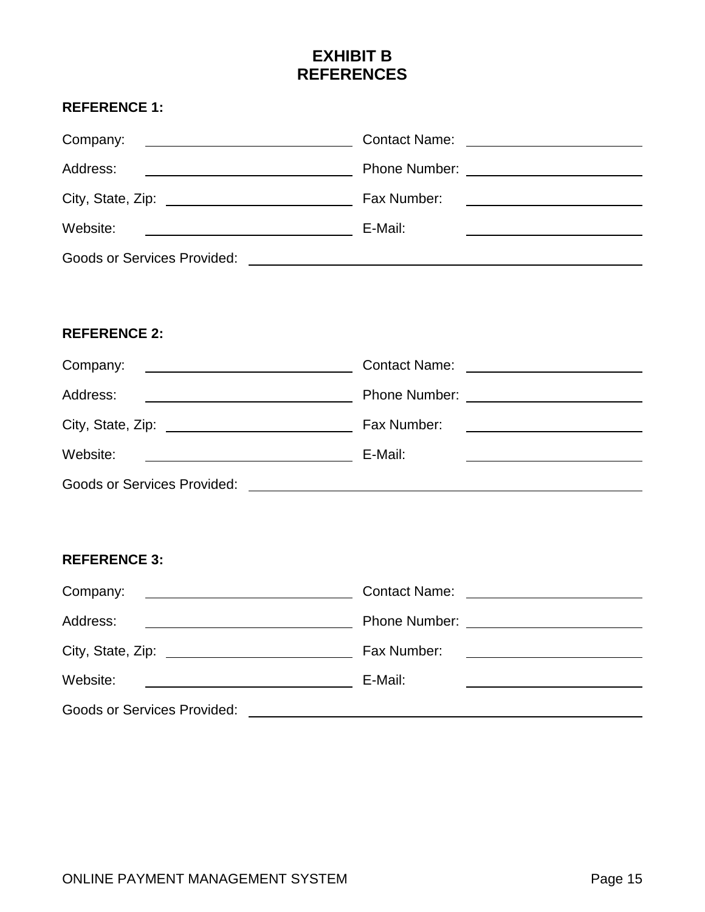# **EXHIBIT B REFERENCES**

## **REFERENCE 1:**

| Company:                                                                | Contact Name: _________________________ |
|-------------------------------------------------------------------------|-----------------------------------------|
| Address:<br><u> 1989 - Andrea Stadt Britain, amerikansk politiker (</u> |                                         |
|                                                                         | Fax Number:                             |
| Website:                                                                | E-Mail:                                 |
| <b>Goods or Services Provided:</b>                                      |                                         |

## **REFERENCE 2:**

| Company:                           | <b>Contact Name:</b><br><u> 1980 - Andrea Andrew Maria (b. 1980)</u> |
|------------------------------------|----------------------------------------------------------------------|
| Address:                           |                                                                      |
|                                    | Fax Number:<br><u> 1980 - Jan Sammer, Amerikaansk politiker (</u>    |
| Website:                           | E-Mail:                                                              |
| <b>Goods or Services Provided:</b> |                                                                      |

### **REFERENCE 3:**

| Company:<br><u> 1989 - Johann Stein, fransk politik (f. 1989)</u> | <b>Contact Name:</b><br><u> 1989 - Andrea Albert III, politik a postaj de la provincia de la provincia de la provincia de la provincia d</u> |
|-------------------------------------------------------------------|----------------------------------------------------------------------------------------------------------------------------------------------|
| Address:                                                          |                                                                                                                                              |
| City, State, Zip:<br><u> 1980 - Andrea Andrew Maria (b. 1980)</u> | Fax Number:                                                                                                                                  |
| Website:                                                          | E-Mail:                                                                                                                                      |
| <b>Goods or Services Provided:</b>                                |                                                                                                                                              |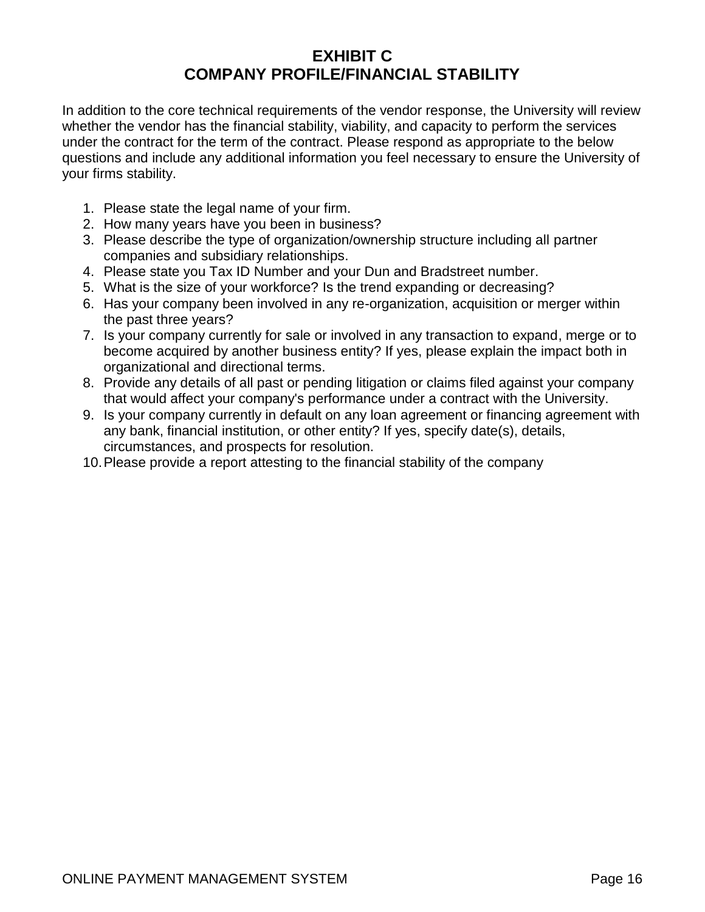## **EXHIBIT C COMPANY PROFILE/FINANCIAL STABILITY**

In addition to the core technical requirements of the vendor response, the University will review whether the vendor has the financial stability, viability, and capacity to perform the services under the contract for the term of the contract. Please respond as appropriate to the below questions and include any additional information you feel necessary to ensure the University of your firms stability.

- 1. Please state the legal name of your firm.
- 2. How many years have you been in business?
- 3. Please describe the type of organization/ownership structure including all partner companies and subsidiary relationships.
- 4. Please state you Tax ID Number and your Dun and Bradstreet number.
- 5. What is the size of your workforce? Is the trend expanding or decreasing?
- 6. Has your company been involved in any re-organization, acquisition or merger within the past three years?
- 7. Is your company currently for sale or involved in any transaction to expand, merge or to become acquired by another business entity? If yes, please explain the impact both in organizational and directional terms.
- 8. Provide any details of all past or pending litigation or claims filed against your company that would affect your company's performance under a contract with the University.
- 9. Is your company currently in default on any loan agreement or financing agreement with any bank, financial institution, or other entity? If yes, specify date(s), details, circumstances, and prospects for resolution.
- 10.Please provide a report attesting to the financial stability of the company